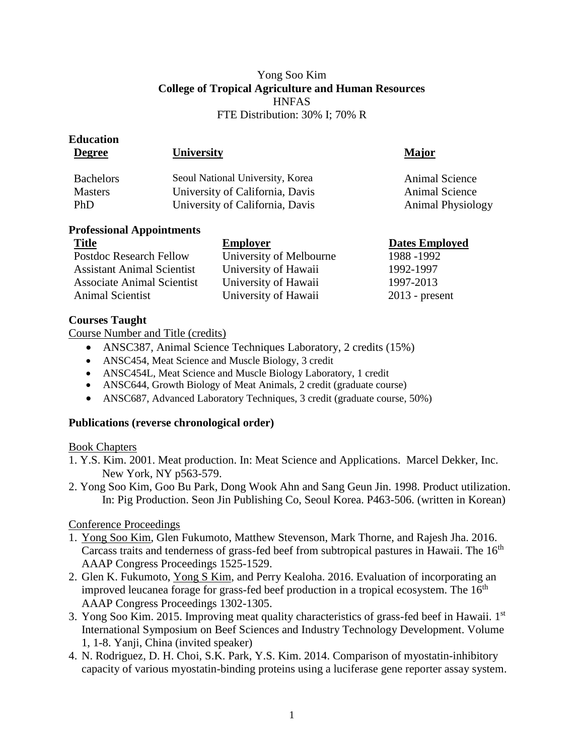## Yong Soo Kim **College of Tropical Agriculture and Human Resources HNFAS** FTE Distribution: 30% I; 70% R

| <b>University</b>                                                                                      | Major                                                        |
|--------------------------------------------------------------------------------------------------------|--------------------------------------------------------------|
| Seoul National University, Korea<br>University of California, Davis<br>University of California, Davis | Animal Science<br>Animal Science<br><b>Animal Physiology</b> |
|                                                                                                        |                                                              |

### **Professional Appointments**

| <b>Title</b>                      | <b>Employer</b>         | <b>Dates Employed</b> |
|-----------------------------------|-------------------------|-----------------------|
| <b>Postdoc Research Fellow</b>    | University of Melbourne | 1988 - 1992           |
| <b>Assistant Animal Scientist</b> | University of Hawaii    | 1992-1997             |
| <b>Associate Animal Scientist</b> | University of Hawaii    | 1997-2013             |
| <b>Animal Scientist</b>           | University of Hawaii    | $2013$ - present      |

# **Courses Taught**

Course Number and Title (credits)

- ANSC387, Animal Science Techniques Laboratory, 2 credits (15%)
- ANSC454, Meat Science and Muscle Biology, 3 credit
- ANSC454L, Meat Science and Muscle Biology Laboratory, 1 credit
- ANSC644, Growth Biology of Meat Animals, 2 credit (graduate course)
- ANSC687, Advanced Laboratory Techniques, 3 credit (graduate course, 50%)

# **Publications (reverse chronological order)**

# Book Chapters

- 1. Y.S. Kim. 2001. Meat production. In: Meat Science and Applications. Marcel Dekker, Inc. New York, NY p563-579.
- 2. Yong Soo Kim, Goo Bu Park, Dong Wook Ahn and Sang Geun Jin. 1998. Product utilization. In: Pig Production. Seon Jin Publishing Co, Seoul Korea. P463-506. (written in Korean)

# Conference Proceedings

- 1. Yong Soo Kim, Glen Fukumoto, Matthew Stevenson, Mark Thorne, and Rajesh Jha. 2016. Carcass traits and tenderness of grass-fed beef from subtropical pastures in Hawaii. The 16<sup>th</sup> AAAP Congress Proceedings 1525-1529.
- 2. Glen K. Fukumoto, Yong S Kim, and Perry Kealoha. 2016. Evaluation of incorporating an improved leucanea forage for grass-fed beef production in a tropical ecosystem. The  $16<sup>th</sup>$ AAAP Congress Proceedings 1302-1305.
- 3. Yong Soo Kim. 2015. Improving meat quality characteristics of grass-fed beef in Hawaii. 1<sup>st</sup> International Symposium on Beef Sciences and Industry Technology Development. Volume 1, 1-8. Yanji, China (invited speaker)
- 4. N. Rodriguez, D. H. Choi, S.K. Park, Y.S. Kim. 2014. Comparison of myostatin-inhibitory capacity of various myostatin-binding proteins using a luciferase gene reporter assay system.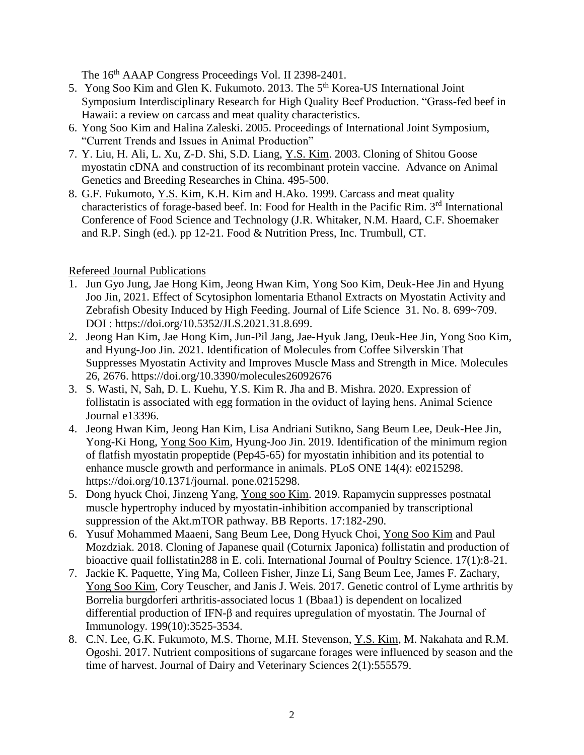The 16<sup>th</sup> AAAP Congress Proceedings Vol. II 2398-2401.

- 5. Yong Soo Kim and Glen K. Fukumoto. 2013. The 5<sup>th</sup> Korea-US International Joint Symposium Interdisciplinary Research for High Quality Beef Production. "Grass-fed beef in Hawaii: a review on carcass and meat quality characteristics.
- 6. Yong Soo Kim and Halina Zaleski. 2005. Proceedings of International Joint Symposium, "Current Trends and Issues in Animal Production"
- 7. Y. Liu, H. Ali, L. Xu, Z-D. Shi, S.D. Liang, Y.S. Kim. 2003. Cloning of Shitou Goose myostatin cDNA and construction of its recombinant protein vaccine. Advance on Animal Genetics and Breeding Researches in China. 495-500.
- 8. G.F. Fukumoto, Y.S. Kim, K.H. Kim and H.Ako. 1999. Carcass and meat quality characteristics of forage-based beef. In: Food for Health in the Pacific Rim. 3<sup>rd</sup> International Conference of Food Science and Technology (J.R. Whitaker, N.M. Haard, C.F. Shoemaker and R.P. Singh (ed.). pp 12-21. Food & Nutrition Press, Inc. Trumbull, CT.

# Refereed Journal Publications

- 1. Jun Gyo Jung, Jae Hong Kim, Jeong Hwan Kim, Yong Soo Kim, Deuk-Hee Jin and Hyung Joo Jin, 2021. Effect of Scytosiphon lomentaria Ethanol Extracts on Myostatin Activity and Zebrafish Obesity Induced by High Feeding. Journal of Life Science 31. No. 8. 699~709. DOI : https://doi.org/10.5352/JLS.2021.31.8.699.
- 2. Jeong Han Kim, Jae Hong Kim, Jun-Pil Jang, Jae-Hyuk Jang, Deuk-Hee Jin, Yong Soo Kim, and Hyung-Joo Jin. 2021. Identification of Molecules from Coffee Silverskin That Suppresses Myostatin Activity and Improves Muscle Mass and Strength in Mice. Molecules 26, 2676. https://doi.org/10.3390/molecules26092676
- 3. S. Wasti, N, Sah, D. L. Kuehu, Y.S. Kim R. Jha and B. Mishra. 2020. Expression of follistatin is associated with egg formation in the oviduct of laying hens. Animal Science Journal e13396.
- 4. Jeong Hwan Kim, Jeong Han Kim, Lisa Andriani Sutikno, Sang Beum Lee, Deuk-Hee Jin, Yong-Ki Hong, Yong Soo Kim, Hyung-Joo Jin. 2019. Identification of the minimum region of flatfish myostatin propeptide (Pep45-65) for myostatin inhibition and its potential to enhance muscle growth and performance in animals. PLoS ONE 14(4): e0215298. https://doi.org/10.1371/journal. pone.0215298.
- 5. Dong hyuck Choi, Jinzeng Yang, Yong soo Kim. 2019. Rapamycin suppresses postnatal muscle hypertrophy induced by myostatin-inhibition accompanied by transcriptional suppression of the Akt.mTOR pathway. BB Reports. 17:182-290.
- 6. Yusuf Mohammed Maaeni, Sang Beum Lee, Dong Hyuck Choi, Yong Soo Kim and Paul Mozdziak. 2018. Cloning of Japanese quail (Coturnix Japonica) follistatin and production of bioactive quail follistatin288 in E. coli. International Journal of Poultry Science. 17(1):8-21.
- 7. Jackie K. Paquette, Ying Ma, Colleen Fisher, Jinze Li, Sang Beum Lee, James F. Zachary, Yong Soo Kim, Cory Teuscher, and Janis J. Weis. 2017. Genetic control of Lyme arthritis by Borrelia burgdorferi arthritis-associated locus 1 (Bbaa1) is dependent on localized differential production of IFN-β and requires upregulation of myostatin. The Journal of Immunology. 199(10):3525-3534.
- 8. C.N. Lee, G.K. Fukumoto, M.S. Thorne, M.H. Stevenson, Y.S. Kim, M. Nakahata and R.M. Ogoshi. 2017. Nutrient compositions of sugarcane forages were influenced by season and the time of harvest. Journal of Dairy and Veterinary Sciences 2(1):555579.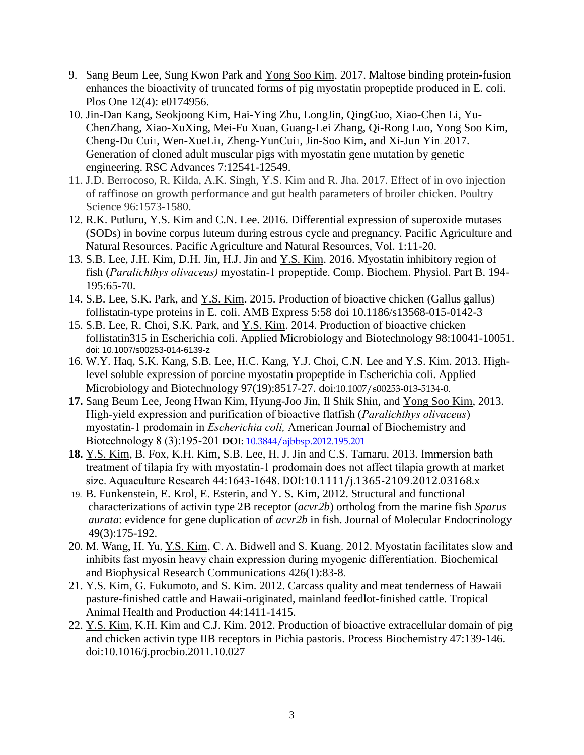- 9. Sang Beum Lee, Sung Kwon Park and Yong Soo Kim. 2017. Maltose binding protein-fusion enhances the bioactivity of truncated forms of pig myostatin propeptide produced in E. coli. Plos One 12(4): e0174956.
- 10. Jin-Dan Kang, Seokjoong Kim, Hai-Ying Zhu, LongJin, QingGuo, Xiao-Chen Li, Yu-ChenZhang, Xiao-XuXing, Mei-Fu Xuan, Guang-Lei Zhang, Qi-Rong Luo, Yong Soo Kim, Cheng-Du Cui1, Wen-XueLi1, Zheng-YunCui1, Jin-Soo Kim, and Xi-Jun Yin. 2017. Generation of cloned adult muscular pigs with myostatin gene mutation by genetic engineering. RSC Advances 7:12541-12549.
- 11. J.D. Berrocoso, R. Kilda, A.K. Singh, Y.S. Kim and R. Jha. 2017. Effect of in ovo injection of raffinose on growth performance and gut health parameters of broiler chicken. Poultry Science 96:1573-1580.
- 12. R.K. Putluru, Y.S. Kim and C.N. Lee. 2016. Differential expression of superoxide mutases (SODs) in bovine corpus luteum during estrous cycle and pregnancy. Pacific Agriculture and Natural Resources. Pacific Agriculture and Natural Resources, Vol. 1:11-20.
- 13. S.B. Lee, J.H. Kim, D.H. Jin, H.J. Jin and Y.S. Kim. 2016. Myostatin inhibitory region of fish (*Paralichthys olivaceus)* myostatin-1 propeptide. Comp. Biochem. Physiol. Part B. 194- 195:65-70.
- 14. S.B. Lee, S.K. Park, and Y.S. Kim. 2015. Production of bioactive chicken (Gallus gallus) follistatin-type proteins in E. coli. AMB Express 5:58 doi 10.1186/s13568-015-0142-3
- 15. S.B. Lee, R. Choi, S.K. Park, and Y.S. Kim. 2014. Production of bioactive chicken follistatin315 in Escherichia coli. Applied Microbiology and Biotechnology 98:10041-10051. doi: 10.1007/s00253-014-6139-z
- 16. W.Y. Haq, S.K. Kang, S.B. Lee, H.C. Kang, Y.J. Choi, C.N. Lee and Y.S. Kim. 2013. Highlevel soluble expression of porcine myostatin propeptide in Escherichia coli. Applied Microbiology and Biotechnology 97(19):8517-27. doi:10.1007/s00253-013-5134-0.
- **17.** Sang Beum Lee, Jeong Hwan Kim, Hyung-Joo Jin, Il Shik Shin, and Yong Soo Kim, 2013. High-yield expression and purification of bioactive flatfish (*Paralichthys olivaceus*) myostatin-1 prodomain in *Escherichia coli,* American Journal of Biochemistry and Biotechnology 8 (3):195-201 **DOI:** 10.3844/ajbbsp.2012.195.201
- **18.** Y.S. Kim, B. Fox, K.H. Kim, S.B. Lee, H. J. Jin and C.S. Tamaru. 2013. Immersion bath treatment of tilapia fry with myostatin-1 prodomain does not affect tilapia growth at market size. Aquaculture Research 44:1643-1648. DOI:10.1111/j.1365-2109.2012.03168.x
- 19. B. Funkenstein, E. Krol, E. Esterin, and Y. S. Kim, 2012. Structural and functional characterizations of activin type 2B receptor (*acvr2b*) ortholog from the marine fish *Sparus aurata*: evidence for gene duplication of *acvr2b* in fish. Journal of Molecular Endocrinology 49(3):175-192.
- 20. M. Wang, H. Yu, Y.S. Kim, C. A. Bidwell and S. Kuang. 2012. Myostatin facilitates slow and inhibits fast myosin heavy chain expression during myogenic differentiation. Biochemical and Biophysical Research Communications 426(1):83-8.
- 21. Y.S. Kim, G. Fukumoto, and S. Kim. 2012. Carcass quality and meat tenderness of Hawaii pasture-finished cattle and Hawaii-originated, mainland feedlot-finished cattle. Tropical Animal Health and Production 44:1411-1415.
- 22. Y.S. Kim, K.H. Kim and C.J. Kim. 2012. Production of bioactive extracellular domain of pig and chicken activin type IIB receptors in Pichia pastoris. Process Biochemistry 47:139-146. doi:10.1016/j.procbio.2011.10.027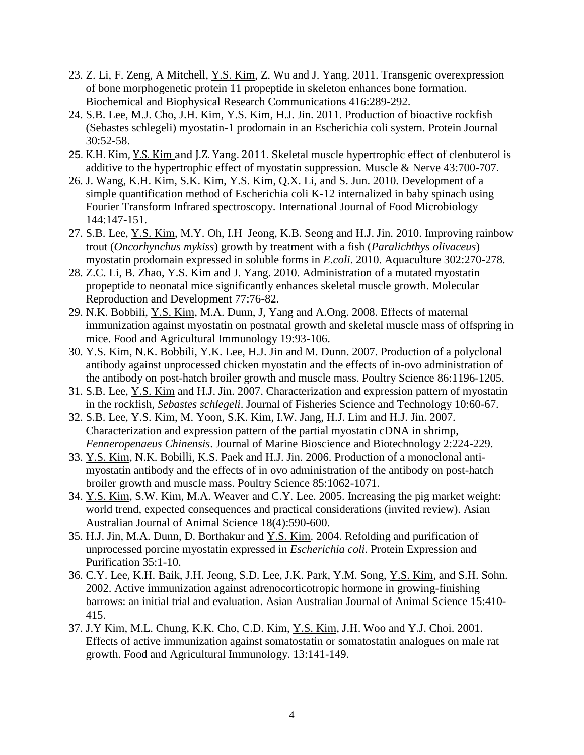- 23. Z. Li, F. Zeng, A Mitchell, Y.S. Kim, Z. Wu and J. Yang. 2011. Transgenic overexpression of bone morphogenetic protein 11 propeptide in skeleton enhances bone formation. Biochemical and Biophysical Research Communications 416:289-292.
- 24. S.B. Lee, M.J. Cho, J.H. Kim, Y.S. Kim, H.J. Jin. 2011. Production of bioactive rockfish (Sebastes schlegeli) myostatin-1 prodomain in an Escherichia coli system. Protein Journal 30:52-58.
- 25. K.H. Kim, Y.S. Kim and J.Z. Yang. 2011. Skeletal muscle hypertrophic effect of clenbuterol is additive to the hypertrophic effect of myostatin suppression. Muscle & Nerve 43:700-707.
- 26. J. Wang, K.H. Kim, S.K. Kim, Y.S. Kim, Q.X. Li, and S. Jun. 2010. Development of a simple quantification method of Escherichia coli K-12 internalized in baby spinach using Fourier Transform Infrared spectroscopy. International Journal of Food Microbiology 144:147-151.
- 27. S.B. Lee, Y.S. Kim, M.Y. Oh, I.H Jeong, K.B. Seong and H.J. Jin. 2010. Improving rainbow trout (*Oncorhynchus mykiss*) growth by treatment with a fish (*Paralichthys olivaceus*) myostatin prodomain expressed in soluble forms in *E.coli*. 2010. Aquaculture 302:270-278.
- 28. Z.C. Li, B. Zhao, Y.S. Kim and J. Yang. 2010. Administration of a mutated myostatin propeptide to neonatal mice significantly enhances skeletal muscle growth. Molecular Reproduction and Development 77:76-82.
- 29. N.K. Bobbili, Y.S. Kim, M.A. Dunn, J, Yang and A.Ong. 2008. Effects of maternal immunization against myostatin on postnatal growth and skeletal muscle mass of offspring in mice. Food and Agricultural Immunology 19:93-106.
- 30. Y.S. Kim, N.K. Bobbili, Y.K. Lee, H.J. Jin and M. Dunn. 2007. Production of a polyclonal antibody against unprocessed chicken myostatin and the effects of in-ovo administration of the antibody on post-hatch broiler growth and muscle mass. Poultry Science 86:1196-1205.
- 31. S.B. Lee, Y.S. Kim and H.J. Jin. 2007. Characterization and expression pattern of myostatin in the rockfish, *Sebastes schlegeli*. Journal of Fisheries Science and Technology 10:60-67.
- 32. S.B. Lee, Y.S. Kim, M. Yoon, S.K. Kim, I.W. Jang, H.J. Lim and H.J. Jin. 2007. Characterization and expression pattern of the partial myostatin cDNA in shrimp, *Fenneropenaeus Chinensis*. Journal of Marine Bioscience and Biotechnology 2:224-229.
- 33. Y.S. Kim, N.K. Bobilli, K.S. Paek and H.J. Jin. 2006. Production of a monoclonal antimyostatin antibody and the effects of in ovo administration of the antibody on post-hatch broiler growth and muscle mass. Poultry Science 85:1062-1071.
- 34. Y.S. Kim, S.W. Kim, M.A. Weaver and C.Y. Lee. 2005. Increasing the pig market weight: world trend, expected consequences and practical considerations (invited review). Asian Australian Journal of Animal Science 18(4):590-600.
- 35. H.J. Jin, M.A. Dunn, D. Borthakur and Y.S. Kim. 2004. Refolding and purification of unprocessed porcine myostatin expressed in *Escherichia coli*. Protein Expression and Purification 35:1-10.
- 36. C.Y. Lee, K.H. Baik, J.H. Jeong, S.D. Lee, J.K. Park, Y.M. Song, Y.S. Kim, and S.H. Sohn. 2002. Active immunization against adrenocorticotropic hormone in growing-finishing barrows: an initial trial and evaluation. Asian Australian Journal of Animal Science 15:410- 415.
- 37. J.Y Kim, M.L. Chung, K.K. Cho, C.D. Kim, Y.S. Kim, J.H. Woo and Y.J. Choi. 2001. Effects of active immunization against somatostatin or somatostatin analogues on male rat growth. Food and Agricultural Immunology. 13:141-149.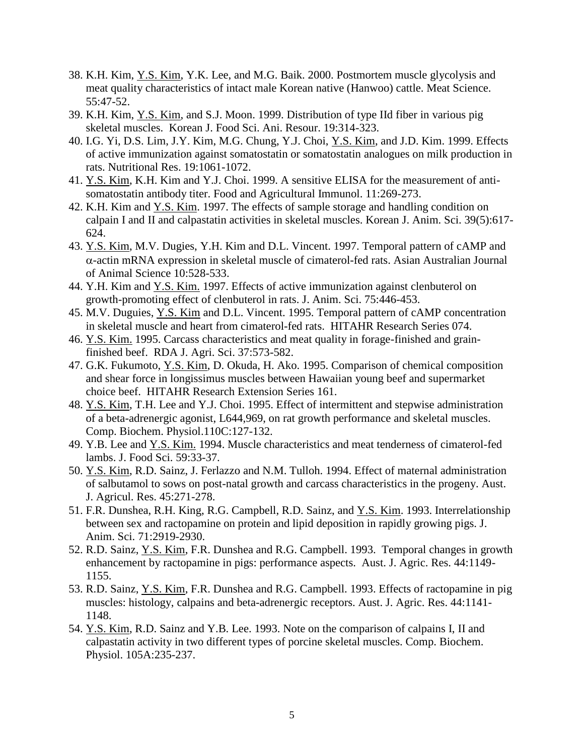- 38. K.H. Kim, Y.S. Kim, Y.K. Lee, and M.G. Baik. 2000. Postmortem muscle glycolysis and meat quality characteristics of intact male Korean native (Hanwoo) cattle. Meat Science. 55:47-52.
- 39. K.H. Kim, Y.S. Kim, and S.J. Moon. 1999. Distribution of type IId fiber in various pig skeletal muscles. Korean J. Food Sci. Ani. Resour. 19:314-323.
- 40. I.G. Yi, D.S. Lim, J.Y. Kim, M.G. Chung, Y.J. Choi, Y.S. Kim, and J.D. Kim. 1999. Effects of active immunization against somatostatin or somatostatin analogues on milk production in rats. Nutritional Res. 19:1061-1072.
- 41. Y.S. Kim, K.H. Kim and Y.J. Choi. 1999. A sensitive ELISA for the measurement of antisomatostatin antibody titer. Food and Agricultural Immunol. 11:269-273.
- 42. K.H. Kim and Y.S. Kim. 1997. The effects of sample storage and handling condition on calpain I and II and calpastatin activities in skeletal muscles. Korean J. Anim. Sci. 39(5):617- 624.
- 43. Y.S. Kim, M.V. Dugies, Y.H. Kim and D.L. Vincent. 1997. Temporal pattern of cAMP and -actin mRNA expression in skeletal muscle of cimaterol-fed rats. Asian Australian Journal of Animal Science 10:528-533.
- 44. Y.H. Kim and Y.S. Kim. 1997. Effects of active immunization against clenbuterol on growth-promoting effect of clenbuterol in rats. J. Anim. Sci. 75:446-453.
- 45. M.V. Duguies, Y.S. Kim and D.L. Vincent. 1995. Temporal pattern of cAMP concentration in skeletal muscle and heart from cimaterol-fed rats. HITAHR Research Series 074.
- 46. Y.S. Kim. 1995. Carcass characteristics and meat quality in forage-finished and grainfinished beef. RDA J. Agri. Sci. 37:573-582.
- 47. G.K. Fukumoto, Y.S. Kim, D. Okuda, H. Ako. 1995. Comparison of chemical composition and shear force in longissimus muscles between Hawaiian young beef and supermarket choice beef. HITAHR Research Extension Series 161.
- 48. Y.S. Kim, T.H. Lee and Y.J. Choi. 1995. Effect of intermittent and stepwise administration of a beta-adrenergic agonist, L644,969, on rat growth performance and skeletal muscles. Comp. Biochem. Physiol.110C:127-132.
- 49. Y.B. Lee and Y.S. Kim. 1994. Muscle characteristics and meat tenderness of cimaterol-fed lambs. J. Food Sci. 59:33-37.
- 50. Y.S. Kim, R.D. Sainz, J. Ferlazzo and N.M. Tulloh. 1994. Effect of maternal administration of salbutamol to sows on post-natal growth and carcass characteristics in the progeny. Aust. J. Agricul. Res. 45:271-278.
- 51. F.R. Dunshea, R.H. King, R.G. Campbell, R.D. Sainz, and Y.S. Kim. 1993. Interrelationship between sex and ractopamine on protein and lipid deposition in rapidly growing pigs. J. Anim. Sci. 71:2919-2930.
- 52. R.D. Sainz, Y.S. Kim, F.R. Dunshea and R.G. Campbell. 1993. Temporal changes in growth enhancement by ractopamine in pigs: performance aspects. Aust. J. Agric. Res. 44:1149- 1155.
- 53. R.D. Sainz, Y.S. Kim, F.R. Dunshea and R.G. Campbell. 1993. Effects of ractopamine in pig muscles: histology, calpains and beta-adrenergic receptors. Aust. J. Agric. Res. 44:1141- 1148.
- 54. Y.S. Kim, R.D. Sainz and Y.B. Lee. 1993. Note on the comparison of calpains I, II and calpastatin activity in two different types of porcine skeletal muscles. Comp. Biochem. Physiol. 105A:235-237.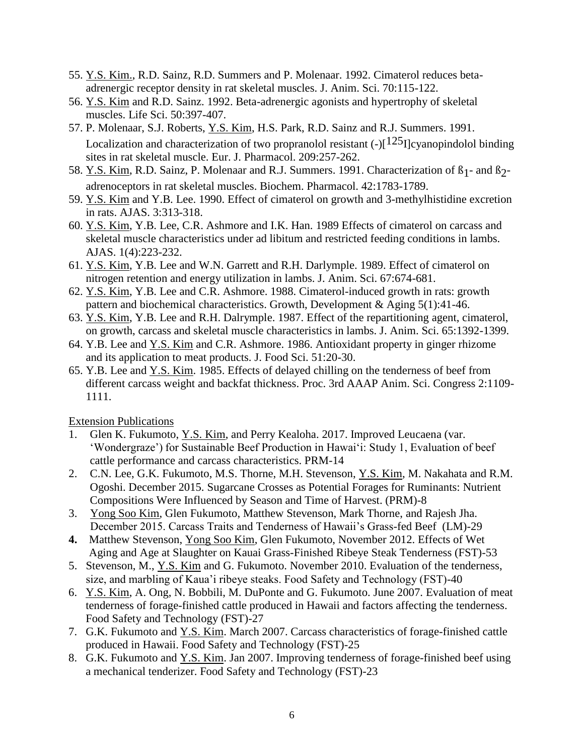- 55. Y.S. Kim., R.D. Sainz, R.D. Summers and P. Molenaar. 1992. Cimaterol reduces betaadrenergic receptor density in rat skeletal muscles. J. Anim. Sci. 70:115-122.
- 56. Y.S. Kim and R.D. Sainz. 1992. Beta-adrenergic agonists and hypertrophy of skeletal muscles. Life Sci. 50:397-407.
- 57. P. Molenaar, S.J. Roberts, Y.S. Kim, H.S. Park, R.D. Sainz and R.J. Summers. 1991. Localization and characterization of two propranolol resistant  $(-)[125]$ cyanopindolol binding sites in rat skeletal muscle. Eur. J. Pharmacol. 209:257-262.
- 58. Y.S. Kim, R.D. Sainz, P. Molenaar and R.J. Summers. 1991. Characterization of  $\beta_1$  and  $\beta_2$ adrenoceptors in rat skeletal muscles. Biochem. Pharmacol. 42:1783-1789.
- 59. Y.S. Kim and Y.B. Lee. 1990. Effect of cimaterol on growth and 3-methylhistidine excretion in rats. AJAS. 3:313-318.
- 60. Y.S. Kim, Y.B. Lee, C.R. Ashmore and I.K. Han. 1989 Effects of cimaterol on carcass and skeletal muscle characteristics under ad libitum and restricted feeding conditions in lambs. AJAS. 1(4):223-232.
- 61. Y.S. Kim, Y.B. Lee and W.N. Garrett and R.H. Darlymple. 1989. Effect of cimaterol on nitrogen retention and energy utilization in lambs. J. Anim. Sci. 67:674-681.
- 62. Y.S. Kim, Y.B. Lee and C.R. Ashmore. 1988. Cimaterol-induced growth in rats: growth pattern and biochemical characteristics. Growth, Development & Aging 5(1):41-46.
- 63. Y.S. Kim, Y.B. Lee and R.H. Dalrymple. 1987. Effect of the repartitioning agent, cimaterol, on growth, carcass and skeletal muscle characteristics in lambs. J. Anim. Sci. 65:1392-1399.
- 64. Y.B. Lee and Y.S. Kim and C.R. Ashmore. 1986. Antioxidant property in ginger rhizome and its application to meat products. J. Food Sci. 51:20-30.
- 65. Y.B. Lee and Y.S. Kim. 1985. Effects of delayed chilling on the tenderness of beef from different carcass weight and backfat thickness. Proc. 3rd AAAP Anim. Sci. Congress 2:1109- 1111.

Extension Publications

- 1. Glen K. Fukumoto, Y.S. Kim, and Perry Kealoha. 2017. Improved Leucaena (var. 'Wondergraze') for Sustainable Beef Production in Hawai'i: Study 1, Evaluation of beef cattle performance and carcass characteristics. PRM-14
- 2. C.N. Lee, G.K. Fukumoto, M.S. Thorne, M.H. Stevenson, Y.S. Kim, M. Nakahata and R.M. Ogoshi. December 2015. Sugarcane Crosses as Potential Forages for Ruminants: Nutrient Compositions Were Influenced by Season and Time of Harvest. (PRM)-8
- 3. Yong Soo Kim, Glen Fukumoto, Matthew Stevenson, Mark Thorne, and Rajesh Jha. December 2015. Carcass Traits and Tenderness of Hawaii's Grass-fed Beef (LM)-29
- **4.** Matthew Stevenson, Yong Soo Kim, Glen Fukumoto, November 2012. Effects of Wet Aging and Age at Slaughter on Kauai Grass-Finished Ribeye Steak Tenderness (FST)-53
- 5. Stevenson, M., <u>Y.S. Kim</u> and G. Fukumoto. November 2010. Evaluation of the tenderness, size, and marbling of Kaua'i ribeye steaks. Food Safety and Technology (FST)-40
- 6. Y.S. Kim, A. Ong, N. Bobbili, M. DuPonte and G. Fukumoto. June 2007. Evaluation of meat tenderness of forage-finished cattle produced in Hawaii and factors affecting the tenderness. Food Safety and Technology (FST)-27
- 7. G.K. Fukumoto and Y.S. Kim. March 2007. Carcass characteristics of forage-finished cattle produced in Hawaii. Food Safety and Technology (FST)-25
- 8. G.K. Fukumoto and Y.S. Kim. Jan 2007. Improving tenderness of forage-finished beef using a mechanical tenderizer. Food Safety and Technology (FST)-23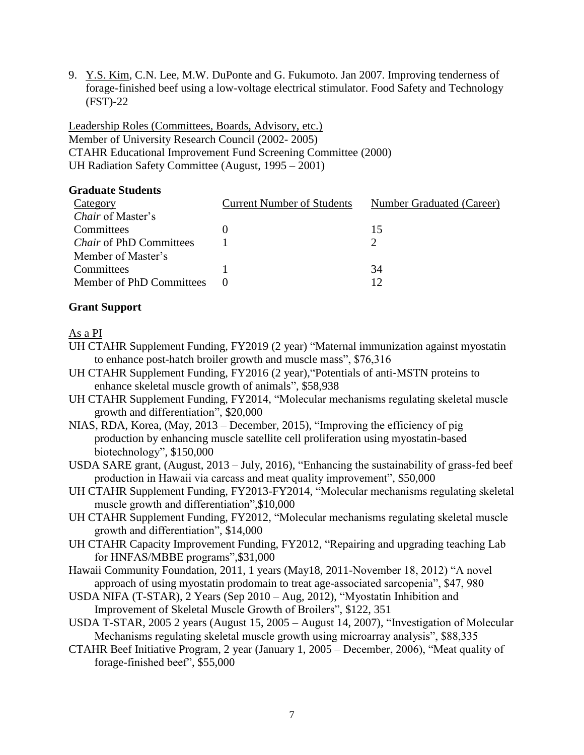9. Y.S. Kim, C.N. Lee, M.W. DuPonte and G. Fukumoto. Jan 2007. Improving tenderness of forage-finished beef using a low-voltage electrical stimulator. Food Safety and Technology (FST)-22

Leadership Roles (Committees, Boards, Advisory, etc.) Member of University Research Council (2002- 2005) CTAHR Educational Improvement Fund Screening Committee (2000) UH Radiation Safety Committee (August, 1995 – 2001)

#### **Graduate Students**

| <b>Current Number of Students</b> | Number Graduated (Career) |
|-----------------------------------|---------------------------|
|                                   |                           |
|                                   | $\overline{15}$           |
|                                   |                           |
|                                   |                           |
|                                   | 34                        |
|                                   |                           |
|                                   |                           |

## **Grant Support**

As a PI

- UH CTAHR Supplement Funding, FY2019 (2 year) "Maternal immunization against myostatin to enhance post-hatch broiler growth and muscle mass", \$76,316
- UH CTAHR Supplement Funding, FY2016 (2 year),"Potentials of anti‐MSTN proteins to enhance skeletal muscle growth of animals", \$58,938
- UH CTAHR Supplement Funding, FY2014, "Molecular mechanisms regulating skeletal muscle growth and differentiation", \$20,000
- NIAS, RDA, Korea, (May, 2013 December, 2015), "Improving the efficiency of pig production by enhancing muscle satellite cell proliferation using myostatin-based biotechnology", \$150,000
- USDA SARE grant, (August, 2013 July, 2016), "Enhancing the sustainability of grass-fed beef production in Hawaii via carcass and meat quality improvement", \$50,000
- UH CTAHR Supplement Funding, FY2013-FY2014, "Molecular mechanisms regulating skeletal muscle growth and differentiation",\$10,000
- UH CTAHR Supplement Funding, FY2012, "Molecular mechanisms regulating skeletal muscle growth and differentiation", \$14,000
- UH CTAHR Capacity Improvement Funding, FY2012, "Repairing and upgrading teaching Lab for HNFAS/MBBE programs",\$31,000
- Hawaii Community Foundation, 2011, 1 years (May18, 2011-November 18, 2012) "A novel approach of using myostatin prodomain to treat age-associated sarcopenia", \$47, 980
- USDA NIFA (T-STAR), 2 Years (Sep 2010 Aug, 2012), "Myostatin Inhibition and Improvement of Skeletal Muscle Growth of Broilers", \$122, 351
- USDA T-STAR, 2005 2 years (August 15, 2005 August 14, 2007), "Investigation of Molecular Mechanisms regulating skeletal muscle growth using microarray analysis", \$88,335
- CTAHR Beef Initiative Program, 2 year (January 1, 2005 December, 2006), "Meat quality of forage-finished beef", \$55,000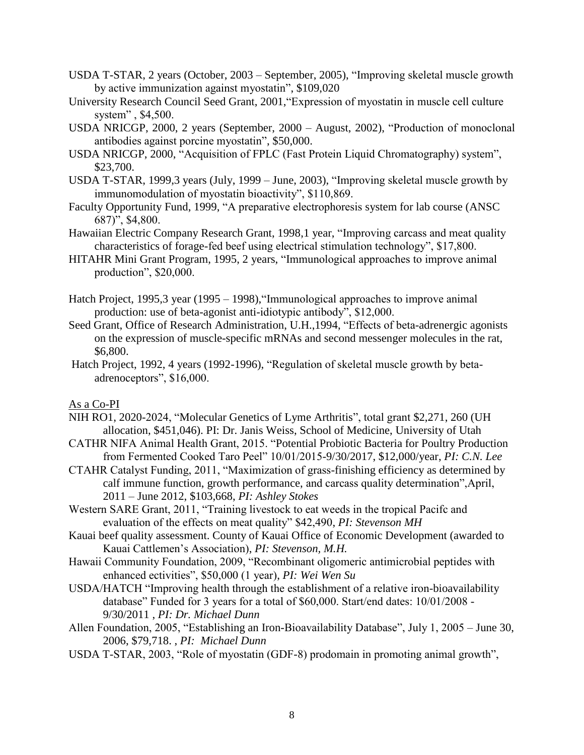- USDA T-STAR, 2 years (October, 2003 September, 2005), "Improving skeletal muscle growth by active immunization against myostatin", \$109,020
- University Research Council Seed Grant, 2001,"Expression of myostatin in muscle cell culture system" , \$4,500.
- USDA NRICGP, 2000, 2 years (September, 2000 August, 2002), "Production of monoclonal antibodies against porcine myostatin", \$50,000.
- USDA NRICGP, 2000, "Acquisition of FPLC (Fast Protein Liquid Chromatography) system", \$23,700.
- USDA T-STAR, 1999,3 years (July, 1999 June, 2003), "Improving skeletal muscle growth by immunomodulation of myostatin bioactivity", \$110,869.
- Faculty Opportunity Fund, 1999, "A preparative electrophoresis system for lab course (ANSC 687)", \$4,800.
- Hawaiian Electric Company Research Grant, 1998,1 year, "Improving carcass and meat quality characteristics of forage-fed beef using electrical stimulation technology", \$17,800.
- HITAHR Mini Grant Program, 1995, 2 years, "Immunological approaches to improve animal production", \$20,000.
- Hatch Project, 1995,3 year (1995 1998),"Immunological approaches to improve animal production: use of beta-agonist anti-idiotypic antibody", \$12,000.
- Seed Grant, Office of Research Administration, U.H.,1994, "Effects of beta-adrenergic agonists on the expression of muscle-specific mRNAs and second messenger molecules in the rat, \$6,800.
- Hatch Project, 1992, 4 years (1992-1996), "Regulation of skeletal muscle growth by betaadrenoceptors", \$16,000.

As a Co-PI

- NIH RO1, 2020-2024, "Molecular Genetics of Lyme Arthritis", total grant \$2,271, 260 (UH allocation, \$451,046). PI: Dr. Janis Weiss, School of Medicine, University of Utah
- CATHR NIFA Animal Health Grant, 2015. "Potential Probiotic Bacteria for Poultry Production from Fermented Cooked Taro Peel" 10/01/2015-9/30/2017, \$12,000/year, *PI: C.N. Lee*
- CTAHR Catalyst Funding, 2011, "Maximization of grass-finishing efficiency as determined by calf immune function, growth performance, and carcass quality determination",April, 2011 – June 2012, \$103,668, *PI: Ashley Stokes*
- Western SARE Grant, 2011, "Training livestock to eat weeds in the tropical Pacifc and evaluation of the effects on meat quality" \$42,490, *PI: Stevenson MH*
- Kauai beef quality assessment. County of Kauai Office of Economic Development (awarded to Kauai Cattlemen's Association), *PI: Stevenson, M.H.*
- Hawaii Community Foundation, 2009, "Recombinant oligomeric antimicrobial peptides with enhanced ectivities", \$50,000 (1 year), *PI: Wei Wen Su*
- USDA/HATCH "Improving health through the establishment of a relative iron-bioavailability database" Funded for 3 years for a total of \$60,000. Start/end dates: 10/01/2008 - 9/30/2011 , *PI: Dr. Michael Dunn*
- Allen Foundation, 2005, "Establishing an Iron-Bioavailability Database", July 1, 2005 June 30, 2006, \$79,718. , *PI: Michael Dunn*
- USDA T-STAR, 2003, "Role of myostatin (GDF-8) prodomain in promoting animal growth",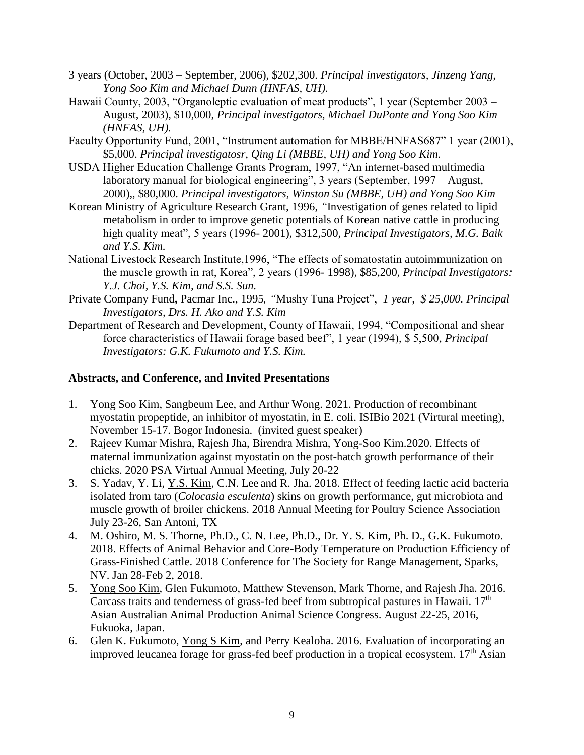- 3 years (October, 2003 September, 2006), \$202,300. *Principal investigators, Jinzeng Yang, Yong Soo Kim and Michael Dunn (HNFAS, UH).*
- Hawaii County, 2003, "Organoleptic evaluation of meat products", 1 year (September 2003 August, 2003), \$10,000, *Principal investigators, Michael DuPonte and Yong Soo Kim (HNFAS, UH).*
- Faculty Opportunity Fund, 2001, "Instrument automation for MBBE/HNFAS687" 1 year (2001), \$5,000. *Principal investigatosr, Qing Li (MBBE, UH) and Yong Soo Kim.*
- USDA Higher Education Challenge Grants Program, 1997, "An internet-based multimedia laboratory manual for biological engineering", 3 years (September, 1997 – August, 2000),, \$80,000. *Principal investigators, Winston Su (MBBE, UH) and Yong Soo Kim*
- Korean Ministry of Agriculture Research Grant, 1996, *"*Investigation of genes related to lipid metabolism in order to improve genetic potentials of Korean native cattle in producing high quality meat", 5 years (1996- 2001), \$312,500, *Principal Investigators, M.G. Baik and Y.S. Kim.*
- National Livestock Research Institute,1996, "The effects of somatostatin autoimmunization on the muscle growth in rat, Korea", 2 years (1996- 1998), \$85,200, *Principal Investigators: Y.J. Choi, Y.S. Kim, and S.S. Sun.*
- Private Company Fund**,** Pacmar Inc., 1995*, "*Mushy Tuna Project", *1 year, \$ 25,000. Principal Investigators, Drs. H. Ako and Y.S. Kim*
- Department of Research and Development, County of Hawaii, 1994, "Compositional and shear force characteristics of Hawaii forage based beef", 1 year (1994), \$ 5,500, *Principal Investigators: G.K. Fukumoto and Y.S. Kim.*

# **Abstracts, and Conference, and Invited Presentations**

- 1. Yong Soo Kim, Sangbeum Lee, and Arthur Wong. 2021. Production of recombinant myostatin propeptide, an inhibitor of myostatin, in E. coli. ISIBio 2021 (Virtural meeting), November 15-17. Bogor Indonesia. (invited guest speaker)
- 2. Rajeev Kumar Mishra, Rajesh Jha, Birendra Mishra, Yong-Soo Kim.2020. Effects of maternal immunization against myostatin on the post-hatch growth performance of their chicks. 2020 PSA Virtual Annual Meeting, July 20-22
- 3. S. Yadav, Y. Li, Y.S. Kim, C.N. Lee and R. Jha. 2018. Effect of feeding lactic acid bacteria isolated from taro (*Colocasia esculenta*) skins on growth performance, gut microbiota and muscle growth of broiler chickens. 2018 Annual Meeting for Poultry Science Association July 23-26, San Antoni, TX
- 4. M. Oshiro, M. S. Thorne, Ph.D., C. N. Lee, Ph.D., Dr. Y. S. Kim, Ph. D., G.K. Fukumoto. 2018. Effects of Animal Behavior and Core-Body Temperature on Production Efficiency of Grass-Finished Cattle. 2018 Conference for The Society for Range Management, Sparks, NV. Jan 28-Feb 2, 2018.
- 5. Yong Soo Kim, Glen Fukumoto, Matthew Stevenson, Mark Thorne, and Rajesh Jha. 2016. Carcass traits and tenderness of grass-fed beef from subtropical pastures in Hawaii. 17<sup>th</sup> Asian Australian Animal Production Animal Science Congress. August 22-25, 2016, Fukuoka, Japan.
- 6. Glen K. Fukumoto, Yong S Kim, and Perry Kealoha. 2016. Evaluation of incorporating an improved leucanea forage for grass-fed beef production in a tropical ecosystem. 17<sup>th</sup> Asian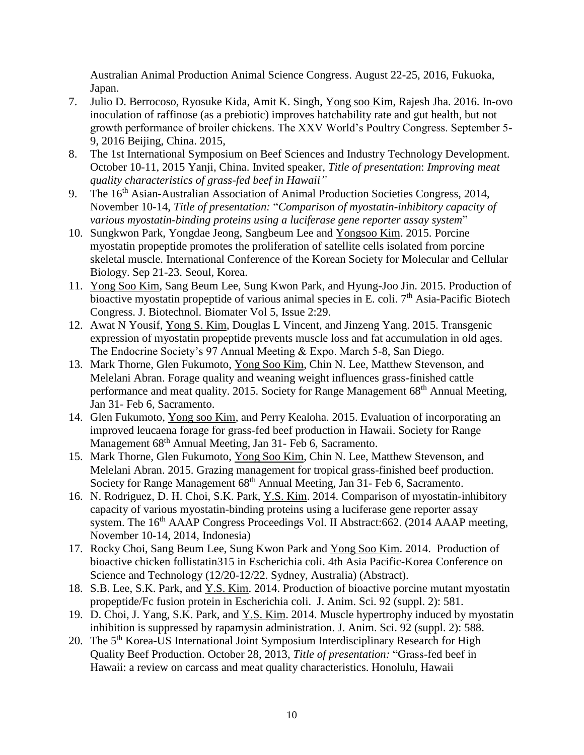Australian Animal Production Animal Science Congress. August 22-25, 2016, Fukuoka, Japan.

- 7. Julio D. Berrocoso, Ryosuke Kida, Amit K. Singh, Yong soo Kim, Rajesh Jha. 2016. In-ovo inoculation of raffinose (as a prebiotic) improves hatchability rate and gut health, but not growth performance of broiler chickens. The XXV World's Poultry Congress. September 5- 9, 2016 Beijing, China. 2015,
- 8. The 1st International Symposium on Beef Sciences and Industry Technology Development. October 10-11, 2015 Yanji, China. Invited speaker, *Title of presentation*: *Improving meat quality characteristics of grass-fed beef in Hawaii"*
- 9. The 16<sup>th</sup> Asian-Australian Association of Animal Production Societies Congress, 2014, November 10-14, *Title of presentation:* "*Comparison of myostatin-inhibitory capacity of various myostatin-binding proteins using a luciferase gene reporter assay system*"
- 10. Sungkwon Park, Yongdae Jeong, Sangbeum Lee and Yongsoo Kim. 2015. Porcine myostatin propeptide promotes the proliferation of satellite cells isolated from porcine skeletal muscle. International Conference of the Korean Society for Molecular and Cellular Biology. Sep 21-23. Seoul, Korea.
- 11. Yong Soo Kim, Sang Beum Lee, Sung Kwon Park, and Hyung-Joo Jin. 2015. Production of bioactive myostatin propeptide of various animal species in E. coli.  $7<sup>th</sup>$  Asia-Pacific Biotech Congress. J. Biotechnol. Biomater Vol 5, Issue 2:29.
- 12. Awat N Yousif, Yong S. Kim, Douglas L Vincent, and Jinzeng Yang. 2015. Transgenic expression of myostatin propeptide prevents muscle loss and fat accumulation in old ages. The Endocrine Society's 97 Annual Meeting & Expo. March 5-8, San Diego.
- 13. Mark Thorne, Glen Fukumoto, Yong Soo Kim, Chin N. Lee, Matthew Stevenson, and Melelani Abran. Forage quality and weaning weight influences grass-finished cattle performance and meat quality. 2015. Society for Range Management 68<sup>th</sup> Annual Meeting, Jan 31- Feb 6, Sacramento.
- 14. Glen Fukumoto, Yong soo Kim, and Perry Kealoha. 2015. Evaluation of incorporating an improved leucaena forage for grass-fed beef production in Hawaii. Society for Range Management 68th Annual Meeting, Jan 31- Feb 6, Sacramento.
- 15. Mark Thorne, Glen Fukumoto, Yong Soo Kim, Chin N. Lee, Matthew Stevenson, and Melelani Abran. 2015. Grazing management for tropical grass-finished beef production. Society for Range Management 68<sup>th</sup> Annual Meeting, Jan 31- Feb 6, Sacramento.
- 16. N. Rodriguez, D. H. Choi, S.K. Park, Y.S. Kim. 2014. Comparison of myostatin-inhibitory capacity of various myostatin-binding proteins using a luciferase gene reporter assay system. The 16<sup>th</sup> AAAP Congress Proceedings Vol. II Abstract:662. (2014 AAAP meeting, November 10-14, 2014, Indonesia)
- 17. Rocky Choi, Sang Beum Lee, Sung Kwon Park and Yong Soo Kim. 2014. Production of bioactive chicken follistatin315 in Escherichia coli. 4th Asia Pacific-Korea Conference on Science and Technology (12/20-12/22. Sydney, Australia) (Abstract).
- 18. S.B. Lee, S.K. Park, and Y.S. Kim. 2014. Production of bioactive porcine mutant myostatin propeptide/Fc fusion protein in Escherichia coli. J. Anim. Sci. 92 (suppl. 2): 581.
- 19. D. Choi, J. Yang, S.K. Park, and Y.S. Kim. 2014. Muscle hypertrophy induced by myostatin inhibition is suppressed by rapamysin administration. J. Anim. Sci. 92 (suppl. 2): 588.
- 20. The 5<sup>th</sup> Korea-US International Joint Symposium Interdisciplinary Research for High Quality Beef Production. October 28, 2013, *Title of presentation:* "Grass-fed beef in Hawaii: a review on carcass and meat quality characteristics. Honolulu, Hawaii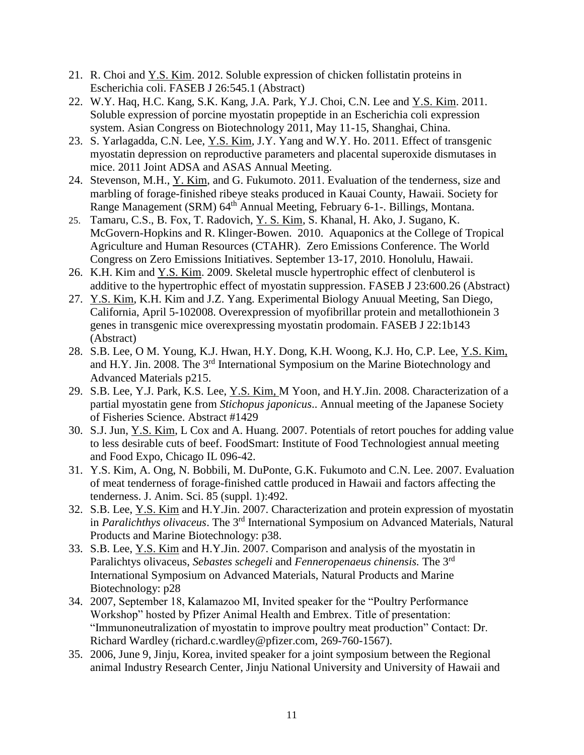- 21. R. Choi and Y.S. Kim. 2012. Soluble expression of chicken follistatin proteins in Escherichia coli. FASEB J 26:545.1 (Abstract)
- 22. W.Y. Haq, H.C. Kang, S.K. Kang, J.A. Park, Y.J. Choi, C.N. Lee and Y.S. Kim. 2011. Soluble expression of porcine myostatin propeptide in an Escherichia coli expression system. Asian Congress on Biotechnology 2011, May 11-15, Shanghai, China.
- 23. S. Yarlagadda, C.N. Lee, <u>Y.S. Kim</u>, J.Y. Yang and W.Y. Ho. 2011. Effect of transgenic myostatin depression on reproductive parameters and placental superoxide dismutases in mice. 2011 Joint ADSA and ASAS Annual Meeting.
- 24. Stevenson, M.H., Y. Kim, and G. Fukumoto. 2011. Evaluation of the tenderness, size and marbling of forage-finished ribeye steaks produced in Kauai County, Hawaii. Society for Range Management (SRM) 64<sup>th</sup> Annual Meeting, February 6-1-. Billings, Montana.
- 25. Tamaru, C.S., B. Fox, T. Radovich, Y. S. Kim, S. Khanal, H. Ako, J. Sugano, K. McGovern-Hopkins and R. Klinger-Bowen. 2010. Aquaponics at the College of Tropical Agriculture and Human Resources (CTAHR). Zero Emissions Conference. The World Congress on Zero Emissions Initiatives. September 13-17, 2010. Honolulu, Hawaii.
- 26. K.H. Kim and Y.S. Kim. 2009. Skeletal muscle hypertrophic effect of clenbuterol is additive to the hypertrophic effect of myostatin suppression. FASEB J 23:600.26 (Abstract)
- 27. Y.S. Kim, K.H. Kim and J.Z. Yang. Experimental Biology Anuual Meeting, San Diego, California, April 5-102008. Overexpression of myofibrillar protein and metallothionein 3 genes in transgenic mice overexpressing myostatin prodomain. FASEB J 22:1b143 (Abstract)
- 28. S.B. Lee, O M. Young, K.J. Hwan, H.Y. Dong, K.H. Woong, K.J. Ho, C.P. Lee, Y.S. Kim, and H.Y. Jin. 2008. The 3rd International Symposium on the Marine Biotechnology and Advanced Materials p215.
- 29. S.B. Lee, Y.J. Park, K.S. Lee, Y.S. Kim, M Yoon, and H.Y.Jin. 2008. Characterization of a partial myostatin gene from *Stichopus japonicus*.. Annual meeting of the Japanese Society of Fisheries Science. Abstract #1429
- 30. S.J. Jun, Y.S. Kim, L Cox and A. Huang. 2007. Potentials of retort pouches for adding value to less desirable cuts of beef. FoodSmart: Institute of Food Technologiest annual meeting and Food Expo, Chicago IL 096-42.
- 31. Y.S. Kim, A. Ong, N. Bobbili, M. DuPonte, G.K. Fukumoto and C.N. Lee. 2007. Evaluation of meat tenderness of forage-finished cattle produced in Hawaii and factors affecting the tenderness. J. Anim. Sci. 85 (suppl. 1):492.
- 32. S.B. Lee, Y.S. Kim and H.Y.Jin. 2007. Characterization and protein expression of myostatin in *Paralichthys olivaceus*. The 3rd International Symposium on Advanced Materials, Natural Products and Marine Biotechnology: p38.
- 33. S.B. Lee, Y.S. Kim and H.Y.Jin. 2007. Comparison and analysis of the myostatin in Paralichtys olivaceus, *Sebastes schegeli* and *Fenneropenaeus chinensis.* The 3rd International Symposium on Advanced Materials, Natural Products and Marine Biotechnology: p28
- 34. 2007, September 18, Kalamazoo MI, Invited speaker for the "Poultry Performance Workshop" hosted by Pfizer Animal Health and Embrex. Title of presentation: "Immunoneutralization of myostatin to improve poultry meat production" Contact: Dr. Richard Wardley (richard.c.wardley@pfizer.com, 269-760-1567).
- 35. 2006, June 9, Jinju, Korea, invited speaker for a joint symposium between the Regional animal Industry Research Center, Jinju National University and University of Hawaii and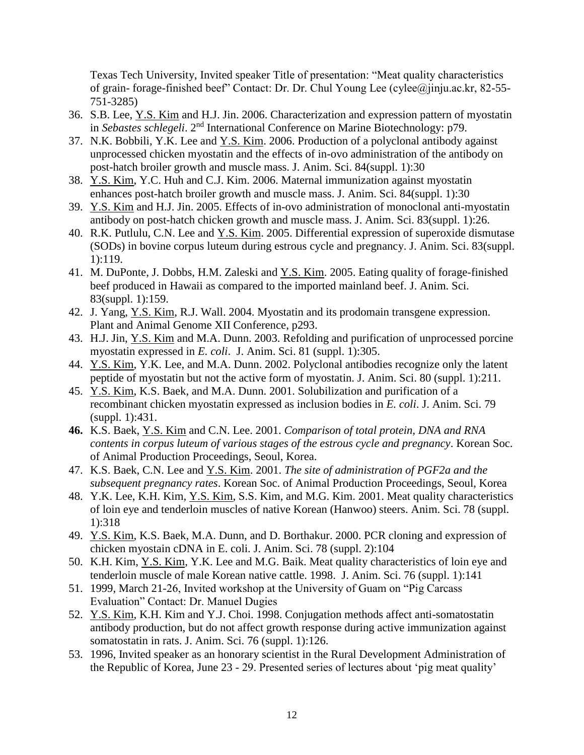Texas Tech University, Invited speaker Title of presentation: "Meat quality characteristics of grain- forage-finished beef" Contact: Dr. Dr. Chul Young Lee (cylee@jinju.ac.kr, 82-55- 751-3285)

- 36. S.B. Lee, Y.S. Kim and H.J. Jin. 2006. Characterization and expression pattern of myostatin in *Sebastes schlegeli*. 2nd International Conference on Marine Biotechnology: p79.
- 37. N.K. Bobbili, Y.K. Lee and Y.S. Kim. 2006. Production of a polyclonal antibody against unprocessed chicken myostatin and the effects of in-ovo administration of the antibody on post-hatch broiler growth and muscle mass. J. Anim. Sci. 84(suppl. 1):30
- 38. Y.S. Kim, Y.C. Huh and C.J. Kim. 2006. Maternal immunization against myostatin enhances post-hatch broiler growth and muscle mass. J. Anim. Sci. 84(suppl. 1):30
- 39. Y.S. Kim and H.J. Jin. 2005. Effects of in-ovo administration of monoclonal anti-myostatin antibody on post-hatch chicken growth and muscle mass. J. Anim. Sci. 83(suppl. 1):26.
- 40. R.K. Putlulu, C.N. Lee and Y.S. Kim. 2005. Differential expression of superoxide dismutase (SODs) in bovine corpus luteum during estrous cycle and pregnancy. J. Anim. Sci. 83(suppl. 1):119.
- 41. M. DuPonte, J. Dobbs, H.M. Zaleski and Y.S. Kim. 2005. Eating quality of forage-finished beef produced in Hawaii as compared to the imported mainland beef. J. Anim. Sci. 83(suppl. 1):159.
- 42. J. Yang, Y.S. Kim, R.J. Wall. 2004. Myostatin and its prodomain transgene expression. Plant and Animal Genome XII Conference, p293.
- 43. H.J. Jin, Y.S. Kim and M.A. Dunn. 2003. Refolding and purification of unprocessed porcine myostatin expressed in *E. coli*. J. Anim. Sci. 81 (suppl. 1):305.
- 44. Y.S. Kim, Y.K. Lee, and M.A. Dunn. 2002. Polyclonal antibodies recognize only the latent peptide of myostatin but not the active form of myostatin. J. Anim. Sci. 80 (suppl. 1):211.
- 45. Y.S. Kim, K.S. Baek, and M.A. Dunn. 2001. Solubilization and purification of a recombinant chicken myostatin expressed as inclusion bodies in *E. coli*. J. Anim. Sci. 79 (suppl. 1):431.
- **46.** K.S. Baek, Y.S. Kim and C.N. Lee. 2001. *Comparison of total protein, DNA and RNA contents in corpus luteum of various stages of the estrous cycle and pregnancy*. Korean Soc. of Animal Production Proceedings, Seoul, Korea.
- 47. K.S. Baek, C.N. Lee and Y.S. Kim. 2001. *The site of administration of PGF2a and the subsequent pregnancy rates*. Korean Soc. of Animal Production Proceedings, Seoul, Korea
- 48. Y.K. Lee, K.H. Kim, Y.S. Kim, S.S. Kim, and M.G. Kim. 2001. Meat quality characteristics of loin eye and tenderloin muscles of native Korean (Hanwoo) steers. Anim. Sci. 78 (suppl. 1):318
- 49. Y.S. Kim, K.S. Baek, M.A. Dunn, and D. Borthakur. 2000. PCR cloning and expression of chicken myostain cDNA in E. coli. J. Anim. Sci. 78 (suppl. 2):104
- 50. K.H. Kim, Y.S. Kim, Y.K. Lee and M.G. Baik. Meat quality characteristics of loin eye and tenderloin muscle of male Korean native cattle. 1998. J. Anim. Sci. 76 (suppl. 1):141
- 51. 1999, March 21-26, Invited workshop at the University of Guam on "Pig Carcass Evaluation" Contact: Dr. Manuel Dugies
- 52. Y.S. Kim, K.H. Kim and Y.J. Choi. 1998. Conjugation methods affect anti-somatostatin antibody production, but do not affect growth response during active immunization against somatostatin in rats. J. Anim. Sci. 76 (suppl. 1):126.
- 53. 1996, Invited speaker as an honorary scientist in the Rural Development Administration of the Republic of Korea, June 23 - 29. Presented series of lectures about 'pig meat quality'